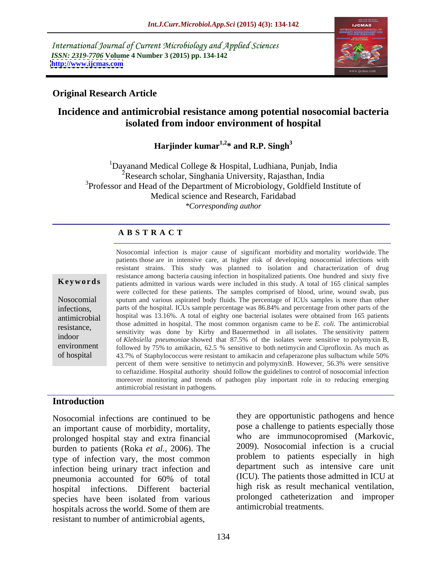International Journal of Current Microbiology and Applied Sciences *ISSN: 2319-7706* **Volume 4 Number 3 (2015) pp. 134-142 <http://www.ijcmas.com>**



### **Original Research Article**

# **Incidence and antimicrobial resistance among potential nosocomial bacteria isolated from indoor environment of hospital**

Harjinder kumar<sup>1,2\*</sup> and R.P. Singh<sup>3</sup>

<sup>1</sup>Dayanand Medical College & Hospital, Ludhiana, Punjab, India  $2^2$ Research scholar, Singhania University, Rajasthan, India <sup>3</sup>Professor and Head of the Department of Microbiology, Goldfield Institute of Medical science and Research, Faridabad *\*Corresponding author*

### **A B S T R A C T**

of hospital

Nosocomial infection is major cause of significant morbidity and mortality worldwide. The patients those are in intensive care, at higher risk of developing nosocomial infections with resistant strains. This study was planned to isolation and characterization of drug resistance among bacteria causing infection in hospitalized patients. One hundred and sixty five patients admitted in various wards were included in this study. A total of 165 clinical samples **Ke ywo rds** were collected for these patients. The samples comprised of blood, urine, wound swab, pus Nosocomial sputum and various aspirated body fluids. The percentage of ICUs samples is more than other infections, parts of the hospital. ICUs sample percentage was 86.84% and percentage from other parts of the antimicrobial hospital was 13.16%. A total of eighty one bacterial isolates were obtained from 165 patients those admitted in hospital. The most common organism came to be  $E$ . *coli*. The antimicrobial sensitivity was done by Kirby and Bauermethod in all isolates. The sensitivity pattern indoor<br>
of *Klebsiella pneumoniae* showed that 87.5% of the isolates were sensitive to polymyxin B, environment followed by  $75\%$  to amikacin,  $62.5\%$  sensitive to both netimycin and Ciprofloxin. As much as 43.7% of Staphylococcus were resistant to amikacin and cefaperazone plus sulbactum while 50% percent of them were sensitive to netimycin and polymyxinB. However, 56.3% were sensitive to ceftazidime. Hospital authority should follow the guidelines to control of nosocomial infection moreover monitoring and trends of pathogen play important role in to reducing emerging antimicrobial resistant in pathogens.

### **Introduction**

Nosocomial infections are continued to be an important cause of morbidity, mortality,<br>
and extra financial and who are immunocopromised (Markovic, prolonged hospital stay and extra financial<br>hyden to patients (Roka et al. 2006). The 2009). Nosocomial infection is a crucial burden to patients (Roka *et al.,* 2006). The type of infection vary, the most common infection being urinary tract infection and pneumonia accounted for 60% of total (ICU). The patients those admitted in ICU at hospital infections. Different bacterial species have been isolated from various hospitals across the world. Some of them are resistant to number of antimicrobial agents,

pose a challenge to patients especially those who are immunocopromised (Markovic, 2009). Nosocomial infection is <sup>a</sup> crucial problem to patients especially in high department such as intensive care unit (ICU). The patients those admitted in ICU at high risk as result mechanical ventilation, prolonged catheterization and improper antimicrobial treatments.

they are opportunistic pathogens and hence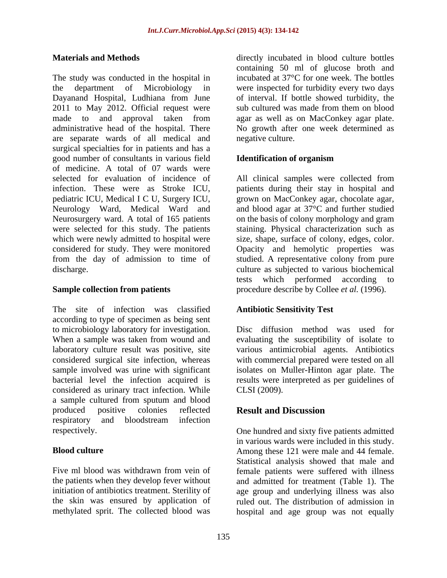The study was conducted in the hospital in the department of Microbiology in were inspected for turbidity every two days Dayanand Hospital, Ludhiana from June of interval. If bottle showed turbidity, the 2011 to May 2012. Official request were sub cultured was made from them on blood made to and approval taken from agar as well as on MacConkey agar plate. administrative head of the hospital. There No growth after one week determined as are separate wards of all medical and surgical specialties for in patients and has a good number of consultants in various field of medicine. A total of 07 wards were selected for evaluation of incidence of All clinical samples were collected from infection. These were as Stroke ICU, patients during their stay in hospital and pediatric ICU, Medical I C U, Surgery ICU, Neurology Ward, Medical Ward and and blood agar at 37°C and further studied Neurosurgery ward. A total of 165 patients on the basis of colony morphology and gram were selected for this study. The patients which were newly admitted to hospital were size, shape, surface of colony, edges, color. considered for study. They were monitored Opacity and hemolytic properties was from the day of admission to time of studied. A representative colony from pure

The site of infection was classified according to type of specimen as being sent to microbiology laboratory for investigation. When a sample was taken from wound and evaluating the susceptibility of isolate to laboratory culture result was positive, site various antimicrobial agents. Antibiotics considered surgical site infection, whereas with commercial prepared were tested on all sample involved was urine with significant isolates on Muller-Hinton agar plate. The bacterial level the infection acquired is results were interpreted as per guidelines of considered as urinary tract infection. While CLSI (2009). a sample cultured from sputum and blood produced positive colonies reflected **Result and Discussion** respiratory and bloodstream infection

Five ml blood was withdrawn from vein of female patients were suffered with illness the patients when they develop fever without initiation of antibiotics treatment. Sterility of age group and underlying illness was also the skin was ensured by application of ruled out. The distribution of admission in

**Materials and Methods**  directly incubated in blood culture bottles containing 50 ml of glucose broth and incubated at 37°C for one week. The bottles sub cultured was made from them on blood negative culture.

### **Identification of organism**

discharge. culture as subjected to various biochemical **Sample collection from patients** procedure describe by Collee *et al.* (1996). grown on MacConkey agar, chocolate agar, staining. Physical characterization such as tests which performed according to

### **Antibiotic Sensitivity Test**

Disc diffusion method was used for CLSI (2009).

## **Result and Discussion**

respectively. One hundred and sixty five patients admitted **Blood culture Among these 121 were male and 44 female.** methylated sprit. The collected blood was hospital and age group was not equallyin various wards were included in this study. Statistical analysis showed that male and and admitted for treatment (Table 1). The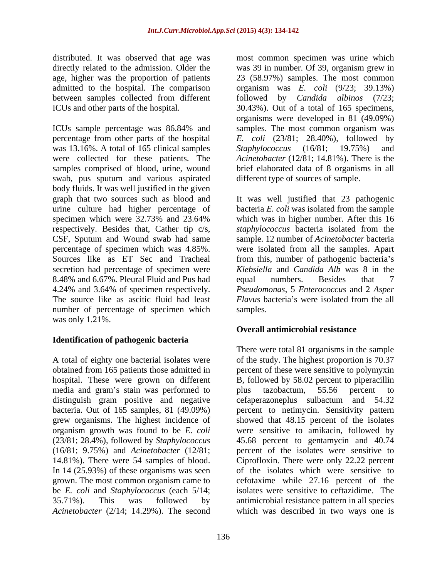between samples collected from different followed by *Candida albinos* (7/23;

ICUs sample percentage was 86.84% and samples. The most common organism was percentage from other parts of the hospital *E. coli* (23/81; 28.40%), followed by was 13.16%. A total of 165 clinical samples Staphylococcus (16/81; 19.75%) and were collected for these patients. The *Acinetobacter* (12/81; 14.81%). There is the samples comprised of blood, urine, wound brief elaborated data of 8 organisms in all swab, pus sputum and various aspirated body fluids. It was well justified in the given graph that two sources such as blood and It was well justified that 23 pathogenic urine culture had higher percentage of bacteria *E. coli* was isolated from the sample specimen which were 32.73% and 23.64% which was in higher number. After this 16 respectively. Besides that, Cather tip c/s, *staphylococcus* bacteria isolated from the CSF, Sputum and Wound swab had same sample. 12 number of *Acinetobacter* bacteria percentage of specimen which was 4.85%. were isolated from all the samples. Apart Sources like as ET Sec and Tracheal from this, number of pathogenic bacteria's secretion had percentage of specimen were *Klebsiella* and *Candida Alb* was 8 in the 8.48% and 6.67%. Pleural Fluid and Pus had equal numbers. Besides that 7 4.24% and 3.64% of specimen respectively. *Pseudomonas*, 5 *Enterococcus* and 2 *Asper*  The source like as ascitic fluid had least number of percentage of specimen which samples. was only 1.21%.

### **Identification of pathogenic bacteria**

media and gram's stain was performed to plus tazobactum, 55.56 percent to distinguish gram positive and negative bacteria. Out of 165 samples, 81 (49.09%) *Acinetobacter* (2/14; 14.29%). The second which was described in two ways one is

distributed. It was observed that age was most common specimen was urine which directly related to the admission. Older the was 39 in number. Of 39, organism grew in age, higher was the proportion of patients 23 (58.97%) samples. The most common admitted to the hospital. The comparison organism was *E. coli* (9/23; 39.13%) ICUs and other parts of the hospital. 30.43%). Out of a total of 165 specimens, followed by *Candida albinos* (7/23; organisms were developed in 81 (49.09%) *Staphylococcus* (16/81; 19.75%) and different type of sources of sample.

> which was in higher number. After this 16 equal numbers. Besides that 7 *Flavus* bacteria's were isolated from the all samples.

### **Overall antimicrobial resistance**

A total of eighty one bacterial isolates were of the study. The highest proportion is 70.37 obtained from 165 patients those admitted in percent of these were sensitive to polymyxin hospital. These were grown on different B, followed by 58.02 percent to piperacillin grew organisms. The highest incidence of showed that 48.15 percent of the isolates organism growth was found to be *E. coli* were sensitive to amikacin, followed by (23/81; 28.4%), followed by *Staphylococcus* 45.68 percent to gentamycin and 40.74 (16/81; 9.75%) and *Acinetobacter* (12/81; percent of the isolates were sensitive to 14.81%). There were 54 samples of blood. Ciprofloxin. There were only 22.22 percent In 14 (25.93%) of these organisms was seen of the isolates which were sensitive to grown. The most common organism came to cefotaxime while 27.16 percent of the be *E. coli* and *Staphylococcus* (each 5/14; isolates were sensitive to ceftazidime. The 35.71%). This was followed by antimicrobial resistance pattern in all species There were total 81 organisms in the sample plus tazobactum, 55.56 percent to cefaperazoneplus sulbactum and 54.32 percent to netimycin. Sensitivity pattern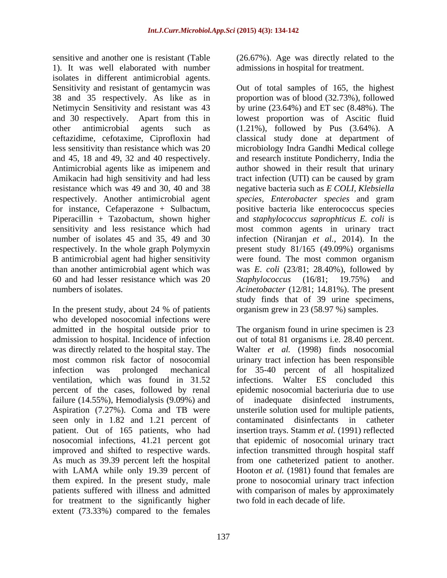sensitive and another one is resistant (Table (26.67%). Age was directly related to the 1). It was well elaborated with number isolates in different antimicrobial agents. Amikacin had high sensitivity and had less tract infection (UTI) can be caused by gram 60 and had lesser resistance which was 20

In the present study, about 24 % of patients who developed nosocomial infections were admission to hospital. Incidence of infection ventilation, which was found in 31.52 percent of the cases, followed by renal failure (14.55%), Hemodialysis (9.09%) and of seen only in 1.82 and 1.21 percent of contaminated disinfectants in catheter patient. Out of 165 patients, who had As much as 39.39 percent left the hospital for treatment to the significantly higher extent (73.33%) compared to the females

admissions in hospital for treatment.

Sensitivity and resistant of gentamycin was Out of total samples of 165, the highest 38 and 35 respectively. As like as in proportion was of blood (32.73%), followed Netimycin Sensitivity and resistant was 43 by urine (23.64%) and ET sec (8.48%). The and 30 respectively. Apart from this in lowest proportion was of Ascitic fluid other antimicrobial agents such as (1.21%), followed by Pus (3.64%). A ceftazidime, cefotaxime, Ciprofloxin had classical study done at department of less sensitivity than resistance which was 20 microbiology Indra Gandhi Medical college and 45, 18 and 49, 32 and 40 respectively. and research institute Pondicherry, India the Antimicrobial agents like as imipenem and author showed in their result that urinary resistance which was 49 and 30, 40 and 38 negative bacteria such as *E COLI, Klebsiella*  respectively. Another antimicrobial agent *species, Enterobacter species* and gram for instance, Cefaperazone + Sulbactum, positive bacteria like enterococcus species Piperacillin + Tazobactum, shown higher and *staphylococcus saprophticus E. coli* is sensitivity and less resistance which had most common agents in urinary tract number of isolates 45 and 35, 49 and 30 infection (Niranjan *et al.,* 2014). In the respectively. In the whole graph Polymyxin present study 81/165 (49.09%) organisms B antimicrobial agent had higher sensitivity were found. The most common organism than another antimicrobial agent which was was *E*. *coli* (23/81; 28.40%), followed by numbers of isolates. Acinetobacter (12/81; 14.81%). The present tract infection (UTI) can be caused by gram *Staphylococcus* (16/81; 19.75%) and study finds that of 39 urine specimens, organism grew in 23 (58.97 %) samples.

admitted in the hospital outside prior to The organism found in urine specimen is 23 was directly related to the hospital stay. The Walter *et al.* (1998) finds nosocomial most common risk factor of nosocomial urinary tract infection has been responsible infection was prolonged mechanical for 35-40 percent of all hospitalized Aspiration (7.27%). Coma and TB were unsterile solution used for multiple patients, nosocomial infections, 41.21 percent got that epidemic of nosocomial urinary tract improved and shifted to respective wards. infection transmitted through hospital staff with LAMA while only 19.39 percent of Hooton *et al.* (1981) found that females are them expired. In the present study, male prone to nosocomial urinary tract infection patients suffered with illness and admitted with comparison of males by approximately out of total 81 organisms i.e. 28.40 percent. infections. Walter ES concluded this epidemic nosocomial bacteriuria due to use inadequate disinfected instruments, contaminated disinfectants in catheter insertion trays. Stamm *et al.* (1991) reflected from one catheterized patient to another. two fold in each decade of life.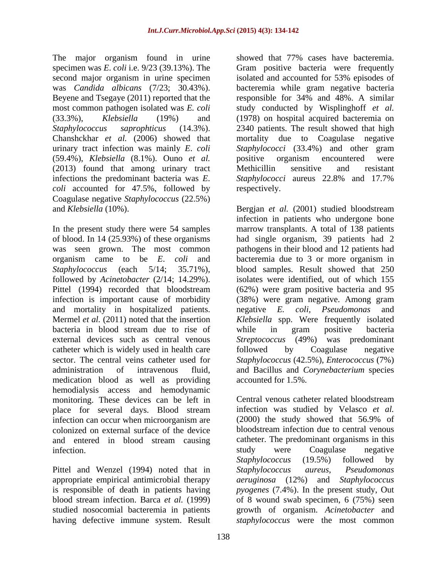Beyene and Tsegaye (2011) reported that the responsible for 34% and 48%. A similar Chanshckhar *et al.* (2006) showed that (59.4%), *Klebsiella* (8.1%). Ouno *et al.* (2013) found that among urinary tract infections the predominant bacteria was *E*. *Staphylococci* aureus 22.8% and 17.7% *coli* accounted for 47.5%, followed by respectively. Coagulase negative *Staphylococcus* (22.5%)

followed by *Acinetobacter* (2/14; 14.29%). and mortality in hospitalized patients. In equative E. coli, Pseudomonas and catheter which is widely used in health care followed by Coagulase negative medication blood as well as providing hemodialysis access and hemodynamic monitoring. These devices can be left in Central venous catheter related bloodstream and entered in blood stream causing catheter. The predominant organifection.

Pittel and Wenzel (1994) noted that in Staphylococcus aureus, Pseudomonas

The major organism found in urine showed that 77% cases have bacteremia. specimen was *E*. *coli* i.e. 9/23 (39.13%). The Gram positive bacteria were frequently second major organism in urine specimen isolated and accounted for 53% episodes of was *Candida albicans* (7/23; 30.43%). bacteremia while gram negative bacteria most common pathogen isolated was *E. coli* study conducted by Wisplinghoff *et al.* (33.3%), *Klebsiella* (19%) and (1978) on hospital acquired bacteremia on *Staphylococcus saprophticus* (14.3%). 2340 patients. The result showed that high urinary tract infection was mainly *E*. *coli Staphylococci* (33.4%) and other gram responsible for 34% and 48%. A similar due to Coagulase negative positive organism encountered were Methicillin sensitive and resistant *Staphylococci* aureus 22.8% and 17.7% respectively.

and *Klebsiella* (10%). Bergjan *et al.* (2001) studied bloodstream In the present study there were 54 samples marrow transplants. A total of 138 patients of blood. In 14 (25.93%) of these organisms had single organism, 39 patients had 2 was seen grown. The most common pathogens in their blood and 12 patients had organism came to be *E*. *coli* and bacteremia due to 3 or more organism in *Staphylococcus* (each 5/14; 35.71%), blood samples. Result showed that 250 Pittel (1994) recorded that bloodstream (62%) were gram positive bacteria and 95 infection is important cause of morbidity (38%) were gram negative. Among gram Mermel *et al.* (2011) noted that the insertion *Klebsiella* spp. Were frequently isolated bacteria in blood stream due to rise of while in gram positive bacteria external devices such as central venous *Streptococcus* (49%) was predominant sector. The central veins catheter used for *Staphylococcus* (42.5%), *Enterococcus* (7%) administration of intravenous fluid, and Bacillus and *Corynebacterium* species infection in patients who undergone bone isolates were identified, out of which 155 negative *E. coli, Pseudomonas* and while in gram positive bacteria followed by Coagulase negative accounted for 1.5%.

place for several days. Blood stream infection was studied by Velasco et al. infection can occur when microorganism are (2000) the study showed that 56.9% of colonized on external surface of the device bloodstream infection due to central venous infection. The study were coagulase algebra infection. appropriate empirical antimicrobial therapy *aeruginosa* (12%) and *Staphylococcus*  is responsible of death in patients having *pyogenes* (7.4%). In the present study, Out blood stream infection. Barca *et al.* (1999) of 8 wound swab specimen, 6 (75%) seen studied nosocomial bacteremia in patients growth of organism. *Acinetobacter* and having defective immune system. Result *staphylococcus* were the most commonCentral venous catheter related bloodstream infection was studied by Velasco *et al.* (2000) the study showed that 56.9% of catheter. The predominant organisms in this study were Coagulase negative *Staphylococcus* (19.5%) followed by *Staphylococcus aureus*, *Pseudomonas*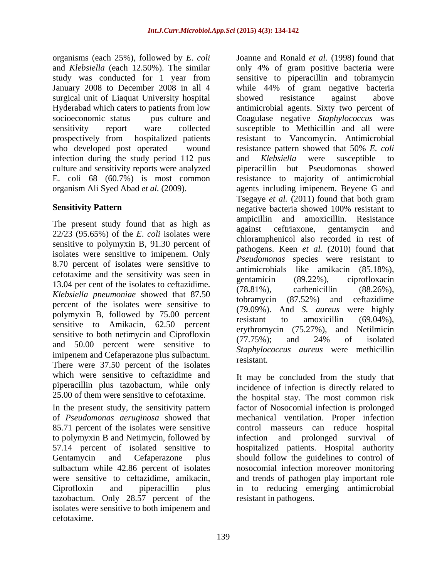organisms (each 25%), followed by *E*. *coli* Joanne and Ronald *et al.* (1998) found that study was conducted for 1 year from surgical unit of Liaquat University hospital showed resistance against above who developed post operated wound resistance pattern showed that 50% E. coli infection during the study period 112 pus and *Klebsiella* were susceptible to culture and sensitivity reports were analyzed

The present study found that as high as against ceftriaxone, gentamycin and  $\frac{1}{2}$ 22/23 (95.65%) of the *E*. *coli* isolates were sensitive to polymyxin B, 91.30 percent of isolates were sensitive to imipenem. Only 8.70 percent of isolates were sensitive to cefotaxime and the sensitivity was seen in  $\frac{12.0 \times 10^{10} \text{ cm}}{200 \text{ cm}^2}$  (89.22%), ciprofloxacing 13.04 per cent of the isolates to ceftazidime.  $(78.81\%)$  carbenicillin  $(88.26\%)$ . *Klebsiella pneumoniae* showed that 87.50 percent of the isolates were sensitive to polymyxin B, followed by 75.00 percent  $(79.09\%)$ . And S. *durent* were lightly resistant to amoxicillin  $(69.04\%)$ . sensitive to Amikacin,  $62.50$  percent resistant to amortefind  $(02.0470)$ , sensitive to both netimycin and Ciprofloxin  $(77.75\%)$ ; and  $24\%$  of isolated and 50.00 percent were sensitive to imipenem and Cefaperazone plus sulbactum.<br>
The contract of the contract of the contract of the contract of the contract of the contract of the contract of the contract of the contract of the contract of the contract of the There were 37.50 percent of the isolates which were sensitive to ceftazidime and piperacillin plus tazobactum, while only

85.71 percent of the isolates were sensitive to polymyxin B and Netimycin, followed by tazobactum. Only 28.57 percent of the isolates were sensitive to both imipenem and cefotaxime.

and *Klebsiella* (each 12.50%). The similar only 4% of gram positive bacteria were January 2008 to December 2008 in all 4 while 44% of gram negative bacteria Hyderabad which caters to patients from low antimicrobial agents. Sixty two percent of socioeconomic status pus culture and Coagulase negative *Staphylococcus* was sensitivity report ware collected susceptible to Methicillin and all were prospectively from hospitalized patients resistant to Vancomycin. Antimicrobial E. coli 68 (60.7%) is most common resistance to majority of antimicrobial organism Ali Syed Abad *et al.* (2009). agents including imipenem. Beyene G and **Sensitivity Pattern negative bacteria showed 100% resistant to** sensitive to piperacillin and tobramycin showed resistance against above resistance pattern showed that 50% *E. coli* and *Klebsiella* were susceptible to piperacillin but Pseudomonas showed Tsegaye *et al.* (2011) found that both gram ampicillin and amoxicillin. Resistance against ceftriaxone, gentamycin and chloramphenicol also recorded in rest of pathogens. Keen *et al.* (2010) found that *Pseudomonas* species were resistant to antimicrobials like amikacin (85.18%), gentamicin (89.22%), ciprofloxacin (78.81%), carbenicillin (88.26%), tobramycin (87.52%) and ceftazidime (79.09%). And *S. aureus* were highly resistant to amoxicillin (69.04%), erythromycin  $(75.27\%)$ , and (77.75%); and 24% of isolated *Staphylococcus aureus* were methicillin resistant.

25.00 of them were sensitive to cefotaxime. the hospital stay. The most common risk In the present study, the sensitivity pattern factor of Nosocomial infection is prolonged of *Pseudomonas aeruginosa* showed that mechanical ventilation. Proper infection 57.14 percent of isolated sensitive to hospitalized patients. Hospital authority Gentamycin and Cefaperazone plus should follow the guidelines to control of sulbactum while 42.86 percent of isolates nosocomial infection moreover monitoring were sensitive to ceftazidime, amikacin, and trends of pathogen play important role Ciprofloxin and piperacillin plus in to reducing emerging antimicrobial It may be concluded from the study that incidence of infection is directly related to control masseurs can reduce hospital infection and prolonged resistant in pathogens.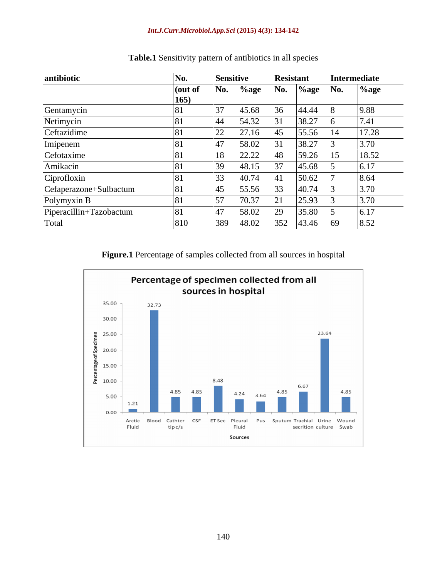### *Int.J.Curr.Microbiol.App.Sci* **(2015) 4(3): 134-142**

| antibiotic              | No.             | <b>Sensitive</b> |               |                | <b>Resistant</b> |            | Intermediate |
|-------------------------|-----------------|------------------|---------------|----------------|------------------|------------|--------------|
|                         | (out of<br>165) | No.              | $\%$ age      | No.            | $%$ age          | $\bf{No.}$ | $%$ age      |
| Gentamycin              |                 | 27               | 45.68         |                | 44.44            |            | 9.88         |
| Netimycin               |                 | 44               | 54.32         |                | 38.27            |            | 7.41         |
| Ceftazidime             |                 | 22               | 27.16         | $\overline{A}$ | 55.56            |            | 17.28        |
| Imipenem                |                 |                  | 58.02         |                | 38.27            |            | 3.70         |
| Cefotaxime              |                 | 18               | 22.22         |                | 59.26            |            | 18.52        |
| Amikacin                |                 | 30               | 48.15         |                | 45.68            |            | 6.17         |
| Ciprofloxin             |                 | 33               | 40.74         |                | 50.62            |            | 8.64         |
| Cefaperazone+Sulbactum  |                 | 45               | 55.56         |                | 40.74            |            | 3.70         |
| Polymyxin B             |                 | 57               | 70.27<br>0.31 |                | 25.93            |            | 3.70         |
| Piperacillin+Tazobactum |                 | 47               | 58.02         |                | 35.80            |            | 6.17         |
| Total                   | 810             | 389              | 48.02         | 352            | 43.46            | 69         | 8.52         |

**Table.1** Sensitivity pattern of antibiotics in all species

**Figure.1** Percentage of samples collected from all sources in hospital

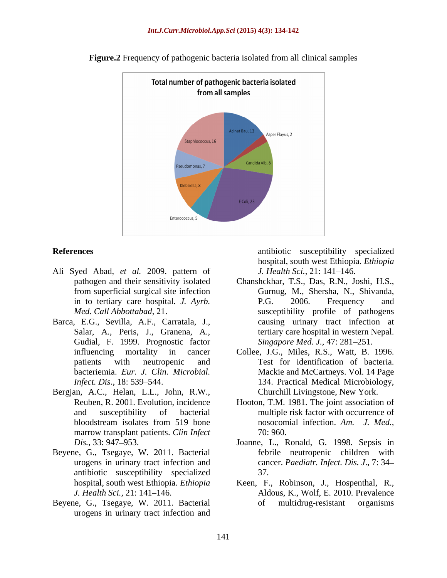

**Figure.2** Frequency of pathogenic bacteria isolated from all clinical samples

- Ali Syed Abad, *et al.* 2009. pattern of
- Gudial, F. 1999. Prognostic factor
- Bergjan, A.C., Helan, L.L., John, R.W., Reuben, R. 2001. Evolution, incidence marrow transplant patients. *Clin Infect* 70:960.
- Beyene, G., Tsegaye, W. 2011. Bacterial antibiotic susceptibility specialized
- urogens in urinary tract infection and

**References** antibiotic susceptibility specialized hospital, south west Ethiopia. *Ethiopia J. Health Sci., 21:* 141–146.

- pathogen and their sensitivity isolated Chanshckhar, T.S., Das, R.N., Joshi, H.S., from superficial surgical site infection Gurnug, M., Shersha, N., Shivanda, from superficial surgical site infection Gurnug, M., Shersha, N., Shivanda, in to tertiary care hospital. *J. Ayrb. Med. Call Abbottabad,* 21. Susceptibility profile of pathogens<br>Barca, E.G., Sevilla, A.F., Carratala, J., causing urinary tract infection at<br>Salar, A., Peris, J., Granena, A., tertiary care hospital in western Nepal. P.G. 2006. Frequency and susceptibility profile of pathogens causing urinary tract infection at tertiary care hospital in western Nepal. *Singapore Med. J., 47: 281-251.* 
	- influencing mortality in cancer Collee, J.G., Miles, R.S., Watt, B. 1996. patients with neutropenic and Test for identification of bacteria. bacteriemia. *Eur. J. Clin. Microbial.* Mackie and McCartneys. Vol. 14 Page *Infect. Dis*., 18: 539 544. 134. Practical Medical Microbiology, Churchill Livingstone, New York.
	- Reuben, R. 2001. Evolution, incidence Hooton, T.M. 1981. The joint association of and susceptibility of bacterial multiple risk factor with occurrence of bloodstream isolates from 519 bone nosocomial infection. Am. J. Med., nosocomial infection. *Am.J. Med.,* 70: 960.
	- *Dis.,* 33: 947 953. Joanne, L., Ronald, G. 1998. Sepsis in urogens in urinary tract infection and cancer. *Paediatr. Infect. Dis. J*., 7: 34 febrile neutropenic children with 37.
- hospital, south west Ethiopia. *Ethiopia*  Keen, F., Robinson, J., Hospenthal, R., Aldous, K., Wolf, E. 2010. Prevalence *J. Health Sci.,* 21: 141–146. **Aldous, K., Wolf, E. 2010. Prevalence** Beyene, G., Tsegaye, W. 2011. Bacterial of multidrug-resistant organisms multidrug-resistant